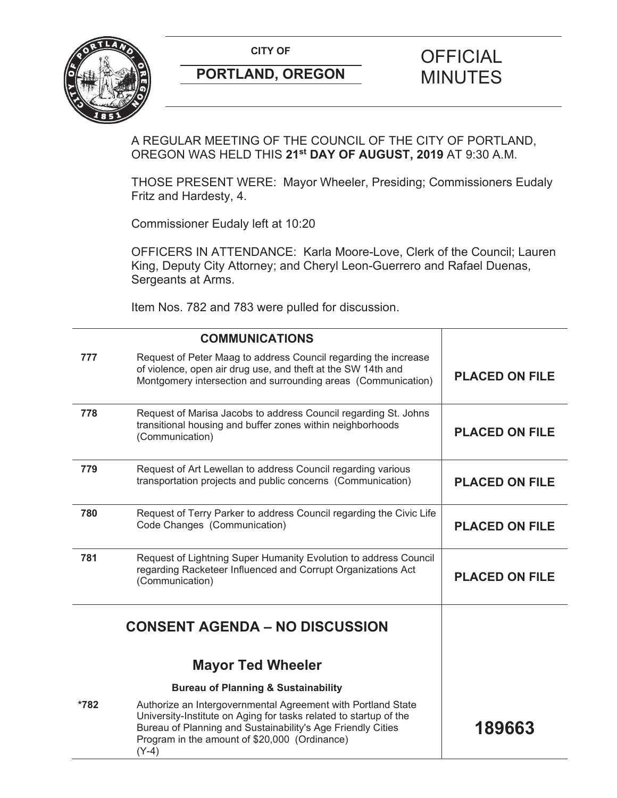**CITY OF CITY OF STRIPS OF FICIAL** 



# **PORTLAND, OREGON MINUTES**

# A REGULAR MEETING OF THE COUNCIL OF THE CITY OF PORTLAND, OREGON WAS HELD THIS **21st DAY OF AUGUST, 2019** AT 9:30 A.M.

THOSE PRESENT WERE: Mayor Wheeler, Presiding; Commissioners Eudaly Fritz and Hardesty, 4.

Commissioner Eudaly left at 10:20

OFFICERS IN ATTENDANCE: Karla Moore-Love, Clerk of the Council; Lauren King, Deputy City Attorney; and Cheryl Leon-Guerrero and Rafael Duenas, Sergeants at Arms.

Item Nos. 782 and 783 were pulled for discussion.

|      | <b>COMMUNICATIONS</b>                                                                                                                                                                                                                                        |                       |
|------|--------------------------------------------------------------------------------------------------------------------------------------------------------------------------------------------------------------------------------------------------------------|-----------------------|
| 777  | Request of Peter Maag to address Council regarding the increase<br>of violence, open air drug use, and theft at the SW 14th and<br>Montgomery intersection and surrounding areas (Communication)                                                             | <b>PLACED ON FILE</b> |
| 778  | Request of Marisa Jacobs to address Council regarding St. Johns<br>transitional housing and buffer zones within neighborhoods<br>(Communication)                                                                                                             | <b>PLACED ON FILE</b> |
| 779  | Request of Art Lewellan to address Council regarding various<br>transportation projects and public concerns (Communication)                                                                                                                                  | <b>PLACED ON FILE</b> |
| 780  | Request of Terry Parker to address Council regarding the Civic Life<br>Code Changes (Communication)                                                                                                                                                          | <b>PLACED ON FILE</b> |
| 781  | Request of Lightning Super Humanity Evolution to address Council<br>regarding Racketeer Influenced and Corrupt Organizations Act<br>(Communication)                                                                                                          | <b>PLACED ON FILE</b> |
|      | <b>CONSENT AGENDA - NO DISCUSSION</b>                                                                                                                                                                                                                        |                       |
|      | <b>Mayor Ted Wheeler</b>                                                                                                                                                                                                                                     |                       |
|      | <b>Bureau of Planning &amp; Sustainability</b>                                                                                                                                                                                                               |                       |
| *782 | Authorize an Intergovernmental Agreement with Portland State<br>University-Institute on Aging for tasks related to startup of the<br>Bureau of Planning and Sustainability's Age Friendly Cities<br>Program in the amount of \$20,000 (Ordinance)<br>$(Y-4)$ | 189663                |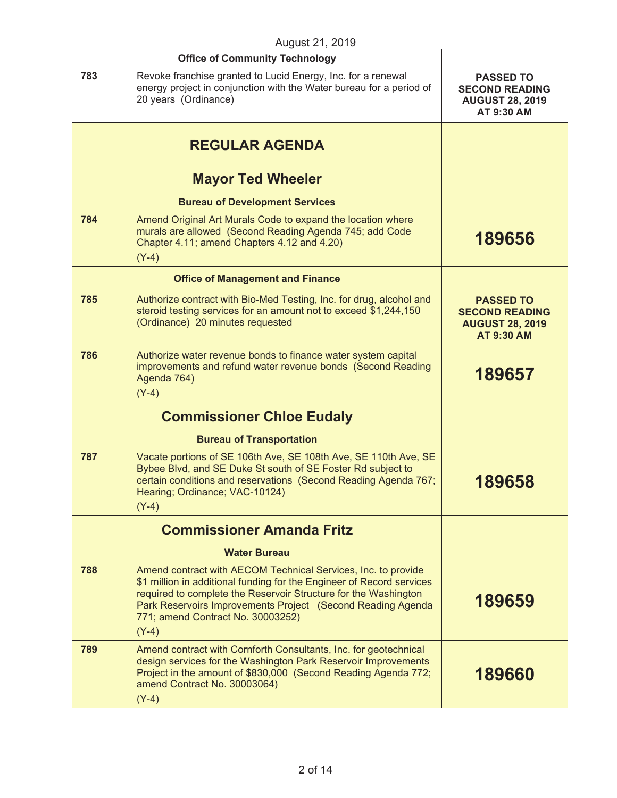|     | <b>Office of Community Technology</b>                                                                                                                                                                                                                                                                                    |                                                                                          |
|-----|--------------------------------------------------------------------------------------------------------------------------------------------------------------------------------------------------------------------------------------------------------------------------------------------------------------------------|------------------------------------------------------------------------------------------|
| 783 | Revoke franchise granted to Lucid Energy, Inc. for a renewal<br>energy project in conjunction with the Water bureau for a period of<br>20 years (Ordinance)                                                                                                                                                              | <b>PASSED TO</b><br><b>SECOND READING</b><br><b>AUGUST 28, 2019</b><br>AT 9:30 AM        |
|     | <b>REGULAR AGENDA</b>                                                                                                                                                                                                                                                                                                    |                                                                                          |
|     | <b>Mayor Ted Wheeler</b>                                                                                                                                                                                                                                                                                                 |                                                                                          |
|     | <b>Bureau of Development Services</b>                                                                                                                                                                                                                                                                                    |                                                                                          |
| 784 | Amend Original Art Murals Code to expand the location where<br>murals are allowed (Second Reading Agenda 745; add Code<br>Chapter 4.11; amend Chapters 4.12 and 4.20)<br>$(Y-4)$                                                                                                                                         | 189656                                                                                   |
|     | <b>Office of Management and Finance</b>                                                                                                                                                                                                                                                                                  |                                                                                          |
| 785 | Authorize contract with Bio-Med Testing, Inc. for drug, alcohol and<br>steroid testing services for an amount not to exceed \$1,244,150<br>(Ordinance) 20 minutes requested                                                                                                                                              | <b>PASSED TO</b><br><b>SECOND READING</b><br><b>AUGUST 28, 2019</b><br><b>AT 9:30 AM</b> |
| 786 | Authorize water revenue bonds to finance water system capital<br>improvements and refund water revenue bonds (Second Reading<br>Agenda 764)<br>$(Y-4)$                                                                                                                                                                   | 189657                                                                                   |
|     | <b>Commissioner Chloe Eudaly</b>                                                                                                                                                                                                                                                                                         |                                                                                          |
|     | <b>Bureau of Transportation</b>                                                                                                                                                                                                                                                                                          |                                                                                          |
| 787 | Vacate portions of SE 106th Ave, SE 108th Ave, SE 110th Ave, SE<br>Bybee Blvd, and SE Duke St south of SE Foster Rd subject to<br>certain conditions and reservations (Second Reading Agenda 767;<br>Hearing; Ordinance; VAC-10124)<br>$(Y-4)$                                                                           | 189658                                                                                   |
|     | <b>Commissioner Amanda Fritz</b>                                                                                                                                                                                                                                                                                         |                                                                                          |
|     | <b>Water Bureau</b>                                                                                                                                                                                                                                                                                                      |                                                                                          |
| 788 | Amend contract with AECOM Technical Services, Inc. to provide<br>\$1 million in additional funding for the Engineer of Record services<br>required to complete the Reservoir Structure for the Washington<br>Park Reservoirs Improvements Project (Second Reading Agenda<br>771; amend Contract No. 30003252)<br>$(Y-4)$ | 189659                                                                                   |
| 789 | Amend contract with Cornforth Consultants, Inc. for geotechnical<br>design services for the Washington Park Reservoir Improvements<br>Project in the amount of \$830,000 (Second Reading Agenda 772;<br>amend Contract No. 30003064)<br>$(Y-4)$                                                                          | 189660                                                                                   |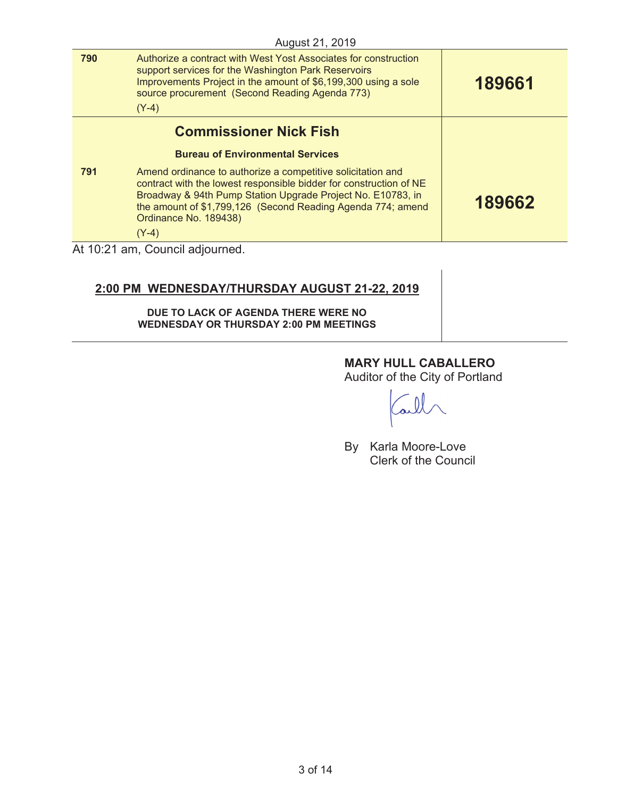|     | August 21, 2019                                                                                                                                                                                                                                                                          |        |
|-----|------------------------------------------------------------------------------------------------------------------------------------------------------------------------------------------------------------------------------------------------------------------------------------------|--------|
| 790 | Authorize a contract with West Yost Associates for construction<br>support services for the Washington Park Reservoirs<br>Improvements Project in the amount of \$6,199,300 using a sole<br>source procurement (Second Reading Agenda 773)<br>$(Y-4)$                                    | 189661 |
|     | <b>Commissioner Nick Fish</b>                                                                                                                                                                                                                                                            |        |
|     | <b>Bureau of Environmental Services</b>                                                                                                                                                                                                                                                  |        |
| 791 | Amend ordinance to authorize a competitive solicitation and<br>contract with the lowest responsible bidder for construction of NE<br>Broadway & 94th Pump Station Upgrade Project No. E10783, in<br>the amount of \$1,799,126 (Second Reading Agenda 774; amend<br>Ordinance No. 189438) | 189662 |
|     | $(Y-4)$<br>$\Lambda$ + 40.04 $\sim$ $\sim$ $\Lambda$ $\sim$ $\mu$ $\sim$ $\mu$                                                                                                                                                                                                           |        |

At 10:21 am, Council adjourned.

# **2:00 PM WEDNESDAY/THURSDAY AUGUST 21-22, 2019**

**DUE TO LACK OF AGENDA THERE WERE NO WEDNESDAY OR THURSDAY 2:00 PM MEETINGS** 

# **MARY HULL CABALLERO**

Auditor of the City of Portland

By Karla Moore-Love Clerk of the Council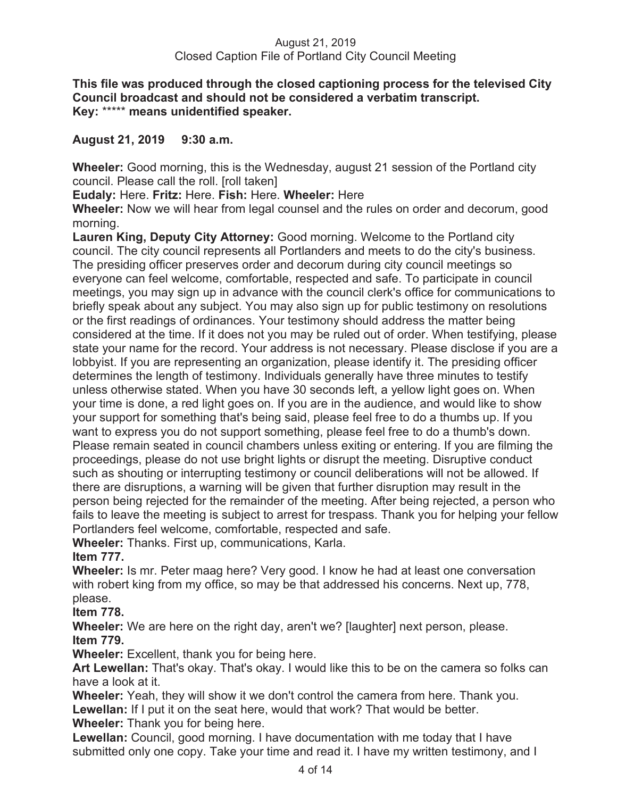#### **This file was produced through the closed captioning process for the televised City Council broadcast and should not be considered a verbatim transcript. Key:** \*\*\*\*\* **means unidentified speaker.**

#### **August 21, 2019 9:30 a.m.**

**Wheeler:** Good morning, this is the Wednesday, august 21 session of the Portland city council. Please call the roll. [roll taken]

**Eudaly:** Here. **Fritz:** Here. **Fish:** Here. **Wheeler:** Here

**Wheeler:** Now we will hear from legal counsel and the rules on order and decorum, good morning.

**Lauren King, Deputy City Attorney:** Good morning. Welcome to the Portland city council. The city council represents all Portlanders and meets to do the city's business. The presiding officer preserves order and decorum during city council meetings so everyone can feel welcome, comfortable, respected and safe. To participate in council meetings, you may sign up in advance with the council clerk's office for communications to briefly speak about any subject. You may also sign up for public testimony on resolutions or the first readings of ordinances. Your testimony should address the matter being considered at the time. If it does not you may be ruled out of order. When testifying, please state your name for the record. Your address is not necessary. Please disclose if you are a lobbyist. If you are representing an organization, please identify it. The presiding officer determines the length of testimony. Individuals generally have three minutes to testify unless otherwise stated. When you have 30 seconds left, a yellow light goes on. When your time is done, a red light goes on. If you are in the audience, and would like to show your support for something that's being said, please feel free to do a thumbs up. If you want to express you do not support something, please feel free to do a thumb's down. Please remain seated in council chambers unless exiting or entering. If you are filming the proceedings, please do not use bright lights or disrupt the meeting. Disruptive conduct such as shouting or interrupting testimony or council deliberations will not be allowed. If there are disruptions, a warning will be given that further disruption may result in the person being rejected for the remainder of the meeting. After being rejected, a person who fails to leave the meeting is subject to arrest for trespass. Thank you for helping your fellow Portlanders feel welcome, comfortable, respected and safe.

**Wheeler:** Thanks. First up, communications, Karla.

**Item 777.** 

**Wheeler:** Is mr. Peter maag here? Very good. I know he had at least one conversation with robert king from my office, so may be that addressed his concerns. Next up, 778, please.

# **Item 778.**

**Wheeler:** We are here on the right day, aren't we? [laughter] next person, please. **Item 779.** 

**Wheeler:** Excellent, thank you for being here.

**Art Lewellan:** That's okay. That's okay. I would like this to be on the camera so folks can have a look at it.

**Wheeler:** Yeah, they will show it we don't control the camera from here. Thank you. **Lewellan:** If I put it on the seat here, would that work? That would be better.

**Wheeler:** Thank you for being here.

**Lewellan:** Council, good morning. I have documentation with me today that I have submitted only one copy. Take your time and read it. I have my written testimony, and I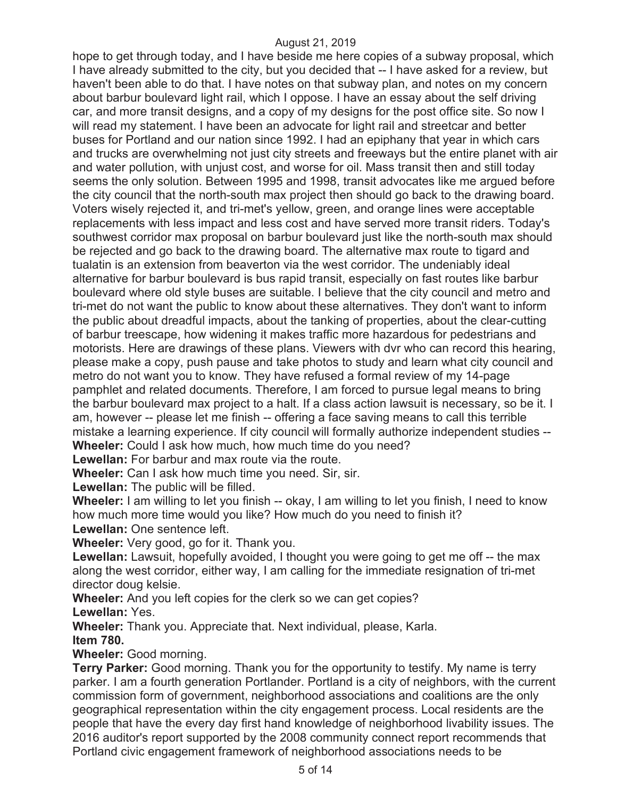hope to get through today, and I have beside me here copies of a subway proposal, which I have already submitted to the city, but you decided that -- I have asked for a review, but haven't been able to do that. I have notes on that subway plan, and notes on my concern about barbur boulevard light rail, which I oppose. I have an essay about the self driving car, and more transit designs, and a copy of my designs for the post office site. So now I will read my statement. I have been an advocate for light rail and streetcar and better buses for Portland and our nation since 1992. I had an epiphany that year in which cars and trucks are overwhelming not just city streets and freeways but the entire planet with air and water pollution, with unjust cost, and worse for oil. Mass transit then and still today seems the only solution. Between 1995 and 1998, transit advocates like me argued before the city council that the north-south max project then should go back to the drawing board. Voters wisely rejected it, and tri-met's yellow, green, and orange lines were acceptable replacements with less impact and less cost and have served more transit riders. Today's southwest corridor max proposal on barbur boulevard just like the north-south max should be rejected and go back to the drawing board. The alternative max route to tigard and tualatin is an extension from beaverton via the west corridor. The undeniably ideal alternative for barbur boulevard is bus rapid transit, especially on fast routes like barbur boulevard where old style buses are suitable. I believe that the city council and metro and tri-met do not want the public to know about these alternatives. They don't want to inform the public about dreadful impacts, about the tanking of properties, about the clear-cutting of barbur treescape, how widening it makes traffic more hazardous for pedestrians and motorists. Here are drawings of these plans. Viewers with dvr who can record this hearing, please make a copy, push pause and take photos to study and learn what city council and metro do not want you to know. They have refused a formal review of my 14-page pamphlet and related documents. Therefore, I am forced to pursue legal means to bring the barbur boulevard max project to a halt. If a class action lawsuit is necessary, so be it. I am, however -- please let me finish -- offering a face saving means to call this terrible mistake a learning experience. If city council will formally authorize independent studies -- **Wheeler:** Could I ask how much, how much time do you need?

Lewellan: For barbur and max route via the route.

**Wheeler:** Can I ask how much time you need. Sir, sir.

**Lewellan:** The public will be filled.

**Wheeler:** I am willing to let you finish -- okay, I am willing to let you finish, I need to know how much more time would you like? How much do you need to finish it? **Lewellan:** One sentence left.

**Wheeler:** Very good, go for it. Thank you.

**Lewellan:** Lawsuit, hopefully avoided, I thought you were going to get me off -- the max along the west corridor, either way, I am calling for the immediate resignation of tri-met director doug kelsie.

**Wheeler:** And you left copies for the clerk so we can get copies?

**Lewellan:** Yes.

**Wheeler:** Thank you. Appreciate that. Next individual, please, Karla.

**Item 780.** 

**Wheeler:** Good morning.

**Terry Parker:** Good morning. Thank you for the opportunity to testify. My name is terry parker. I am a fourth generation Portlander. Portland is a city of neighbors, with the current commission form of government, neighborhood associations and coalitions are the only geographical representation within the city engagement process. Local residents are the people that have the every day first hand knowledge of neighborhood livability issues. The 2016 auditor's report supported by the 2008 community connect report recommends that Portland civic engagement framework of neighborhood associations needs to be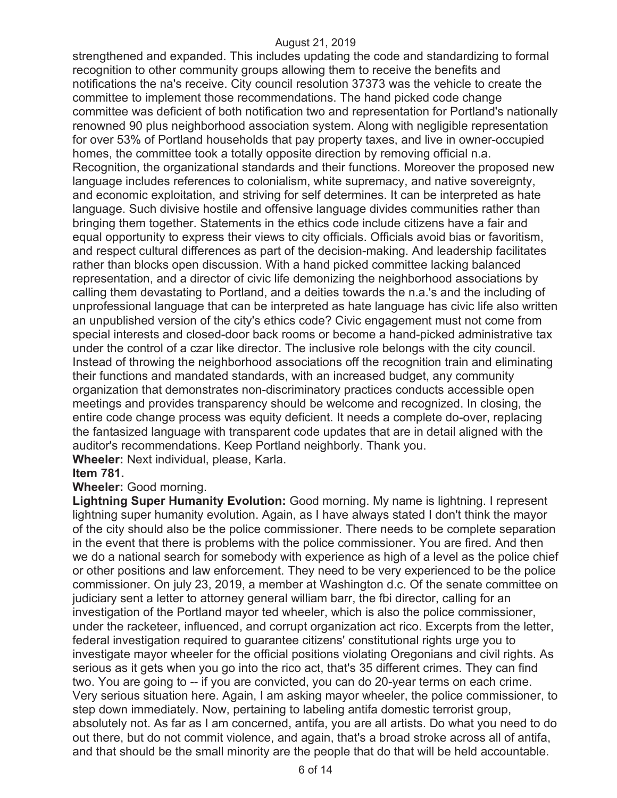strengthened and expanded. This includes updating the code and standardizing to formal recognition to other community groups allowing them to receive the benefits and notifications the na's receive. City council resolution 37373 was the vehicle to create the committee to implement those recommendations. The hand picked code change committee was deficient of both notification two and representation for Portland's nationally renowned 90 plus neighborhood association system. Along with negligible representation for over 53% of Portland households that pay property taxes, and live in owner-occupied homes, the committee took a totally opposite direction by removing official n.a. Recognition, the organizational standards and their functions. Moreover the proposed new language includes references to colonialism, white supremacy, and native sovereignty, and economic exploitation, and striving for self determines. It can be interpreted as hate language. Such divisive hostile and offensive language divides communities rather than bringing them together. Statements in the ethics code include citizens have a fair and equal opportunity to express their views to city officials. Officials avoid bias or favoritism, and respect cultural differences as part of the decision-making. And leadership facilitates rather than blocks open discussion. With a hand picked committee lacking balanced representation, and a director of civic life demonizing the neighborhood associations by calling them devastating to Portland, and a deities towards the n.a.'s and the including of unprofessional language that can be interpreted as hate language has civic life also written an unpublished version of the city's ethics code? Civic engagement must not come from special interests and closed-door back rooms or become a hand-picked administrative tax under the control of a czar like director. The inclusive role belongs with the city council. Instead of throwing the neighborhood associations off the recognition train and eliminating their functions and mandated standards, with an increased budget, any community organization that demonstrates non-discriminatory practices conducts accessible open meetings and provides transparency should be welcome and recognized. In closing, the entire code change process was equity deficient. It needs a complete do-over, replacing the fantasized language with transparent code updates that are in detail aligned with the auditor's recommendations. Keep Portland neighborly. Thank you. **Wheeler:** Next individual, please, Karla.

#### **Item 781.**

#### **Wheeler:** Good morning.

**Lightning Super Humanity Evolution:** Good morning. My name is lightning. I represent lightning super humanity evolution. Again, as I have always stated I don't think the mayor of the city should also be the police commissioner. There needs to be complete separation in the event that there is problems with the police commissioner. You are fired. And then we do a national search for somebody with experience as high of a level as the police chief or other positions and law enforcement. They need to be very experienced to be the police commissioner. On july 23, 2019, a member at Washington d.c. Of the senate committee on judiciary sent a letter to attorney general william barr, the fbi director, calling for an investigation of the Portland mayor ted wheeler, which is also the police commissioner, under the racketeer, influenced, and corrupt organization act rico. Excerpts from the letter, federal investigation required to guarantee citizens' constitutional rights urge you to investigate mayor wheeler for the official positions violating Oregonians and civil rights. As serious as it gets when you go into the rico act, that's 35 different crimes. They can find two. You are going to -- if you are convicted, you can do 20-year terms on each crime. Very serious situation here. Again, I am asking mayor wheeler, the police commissioner, to step down immediately. Now, pertaining to labeling antifa domestic terrorist group, absolutely not. As far as I am concerned, antifa, you are all artists. Do what you need to do out there, but do not commit violence, and again, that's a broad stroke across all of antifa, and that should be the small minority are the people that do that will be held accountable.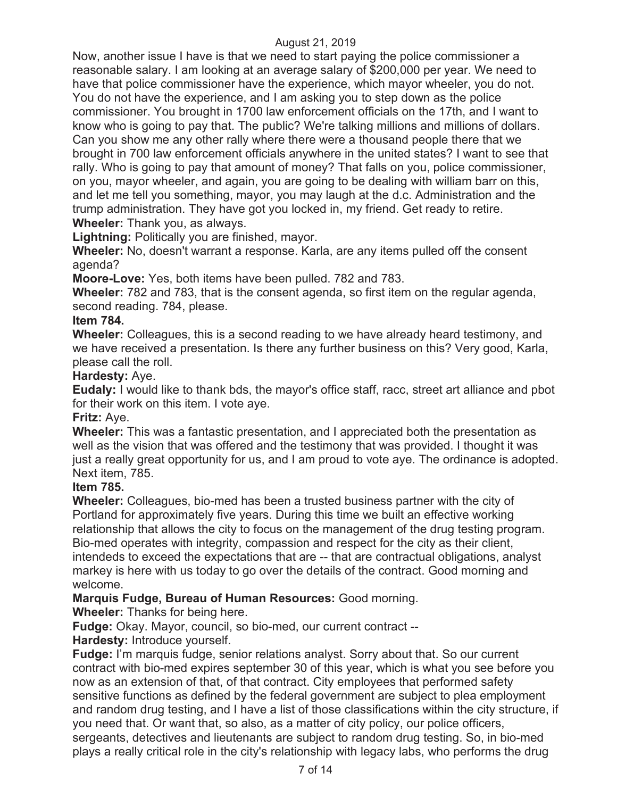Now, another issue I have is that we need to start paying the police commissioner a reasonable salary. I am looking at an average salary of \$200,000 per year. We need to have that police commissioner have the experience, which mayor wheeler, you do not. You do not have the experience, and I am asking you to step down as the police commissioner. You brought in 1700 law enforcement officials on the 17th, and I want to know who is going to pay that. The public? We're talking millions and millions of dollars. Can you show me any other rally where there were a thousand people there that we brought in 700 law enforcement officials anywhere in the united states? I want to see that rally. Who is going to pay that amount of money? That falls on you, police commissioner, on you, mayor wheeler, and again, you are going to be dealing with william barr on this, and let me tell you something, mayor, you may laugh at the d.c. Administration and the trump administration. They have got you locked in, my friend. Get ready to retire. **Wheeler:** Thank you, as always.

**Lightning:** Politically you are finished, mayor.

**Wheeler:** No, doesn't warrant a response. Karla, are any items pulled off the consent agenda?

**Moore-Love:** Yes, both items have been pulled. 782 and 783.

**Wheeler:** 782 and 783, that is the consent agenda, so first item on the regular agenda, second reading. 784, please.

# **Item 784.**

**Wheeler:** Colleagues, this is a second reading to we have already heard testimony, and we have received a presentation. Is there any further business on this? Very good, Karla, please call the roll.

# **Hardesty:** Aye.

**Eudaly:** I would like to thank bds, the mayor's office staff, racc, street art alliance and pbot for their work on this item. I vote aye.

# **Fritz:** Aye.

**Wheeler:** This was a fantastic presentation, and I appreciated both the presentation as well as the vision that was offered and the testimony that was provided. I thought it was just a really great opportunity for us, and I am proud to vote aye. The ordinance is adopted. Next item, 785.

# **Item 785.**

**Wheeler:** Colleagues, bio-med has been a trusted business partner with the city of Portland for approximately five years. During this time we built an effective working relationship that allows the city to focus on the management of the drug testing program. Bio-med operates with integrity, compassion and respect for the city as their client, intendeds to exceed the expectations that are -- that are contractual obligations, analyst markey is here with us today to go over the details of the contract. Good morning and welcome.

# **Marquis Fudge, Bureau of Human Resources:** Good morning.

**Wheeler:** Thanks for being here.

**Fudge:** Okay. Mayor, council, so bio-med, our current contract --

**Hardesty:** Introduce yourself.

**Fudge:** I'm marquis fudge, senior relations analyst. Sorry about that. So our current contract with bio-med expires september 30 of this year, which is what you see before you now as an extension of that, of that contract. City employees that performed safety sensitive functions as defined by the federal government are subject to plea employment and random drug testing, and I have a list of those classifications within the city structure, if you need that. Or want that, so also, as a matter of city policy, our police officers, sergeants, detectives and lieutenants are subject to random drug testing. So, in bio-med plays a really critical role in the city's relationship with legacy labs, who performs the drug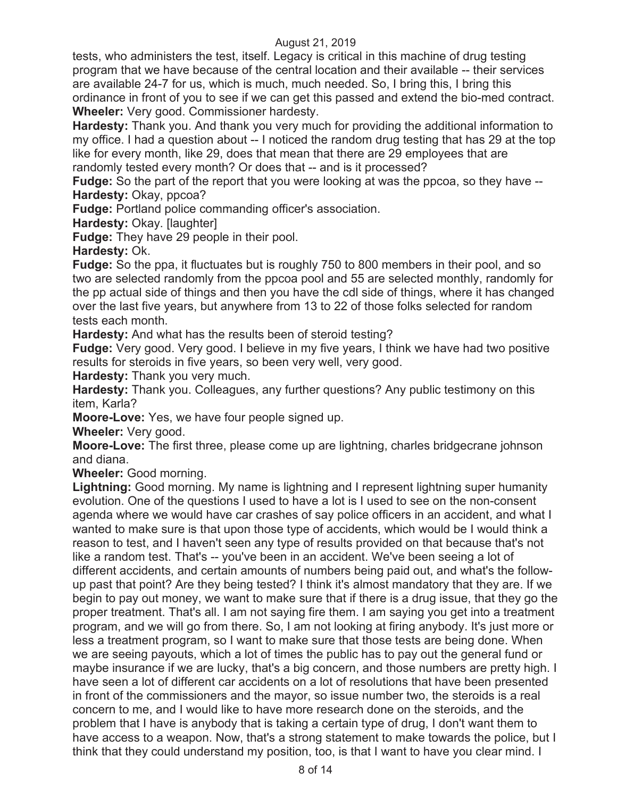tests, who administers the test, itself. Legacy is critical in this machine of drug testing program that we have because of the central location and their available -- their services are available 24-7 for us, which is much, much needed. So, I bring this, I bring this ordinance in front of you to see if we can get this passed and extend the bio-med contract. **Wheeler:** Very good. Commissioner hardesty.

**Hardesty:** Thank you. And thank you very much for providing the additional information to my office. I had a question about -- I noticed the random drug testing that has 29 at the top like for every month, like 29, does that mean that there are 29 employees that are randomly tested every month? Or does that -- and is it processed?

**Fudge:** So the part of the report that you were looking at was the ppcoa, so they have -- **Hardesty:** Okay, ppcoa?

**Fudge:** Portland police commanding officer's association.

**Hardesty:** Okay. [laughter]

**Fudge:** They have 29 people in their pool.

**Hardesty:** Ok.

**Fudge:** So the ppa, it fluctuates but is roughly 750 to 800 members in their pool, and so two are selected randomly from the ppcoa pool and 55 are selected monthly, randomly for the pp actual side of things and then you have the cdl side of things, where it has changed over the last five years, but anywhere from 13 to 22 of those folks selected for random tests each month.

**Hardesty:** And what has the results been of steroid testing?

**Fudge:** Very good. Very good. I believe in my five years, I think we have had two positive results for steroids in five years, so been very well, very good.

**Hardesty:** Thank you very much.

**Hardesty:** Thank you. Colleagues, any further questions? Any public testimony on this item, Karla?

**Moore-Love:** Yes, we have four people signed up.

**Wheeler:** Very good.

**Moore-Love:** The first three, please come up are lightning, charles bridgecrane johnson and diana.

**Wheeler:** Good morning.

**Lightning:** Good morning. My name is lightning and I represent lightning super humanity evolution. One of the questions I used to have a lot is I used to see on the non-consent agenda where we would have car crashes of say police officers in an accident, and what I wanted to make sure is that upon those type of accidents, which would be I would think a reason to test, and I haven't seen any type of results provided on that because that's not like a random test. That's -- you've been in an accident. We've been seeing a lot of different accidents, and certain amounts of numbers being paid out, and what's the followup past that point? Are they being tested? I think it's almost mandatory that they are. If we begin to pay out money, we want to make sure that if there is a drug issue, that they go the proper treatment. That's all. I am not saying fire them. I am saying you get into a treatment program, and we will go from there. So, I am not looking at firing anybody. It's just more or less a treatment program, so I want to make sure that those tests are being done. When we are seeing payouts, which a lot of times the public has to pay out the general fund or maybe insurance if we are lucky, that's a big concern, and those numbers are pretty high. I have seen a lot of different car accidents on a lot of resolutions that have been presented in front of the commissioners and the mayor, so issue number two, the steroids is a real concern to me, and I would like to have more research done on the steroids, and the problem that I have is anybody that is taking a certain type of drug, I don't want them to have access to a weapon. Now, that's a strong statement to make towards the police, but I think that they could understand my position, too, is that I want to have you clear mind. I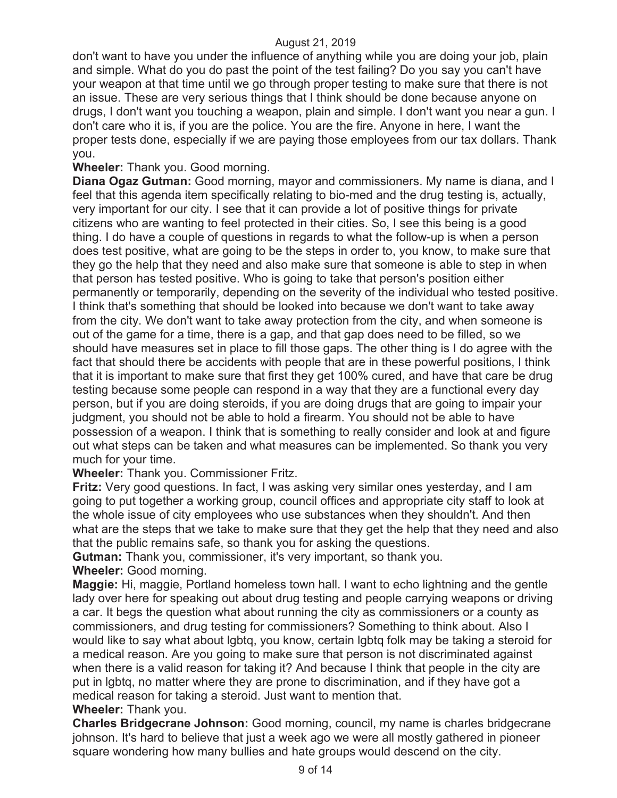don't want to have you under the influence of anything while you are doing your job, plain and simple. What do you do past the point of the test failing? Do you say you can't have your weapon at that time until we go through proper testing to make sure that there is not an issue. These are very serious things that I think should be done because anyone on drugs, I don't want you touching a weapon, plain and simple. I don't want you near a gun. I don't care who it is, if you are the police. You are the fire. Anyone in here, I want the proper tests done, especially if we are paying those employees from our tax dollars. Thank you.

#### **Wheeler:** Thank you. Good morning.

**Diana Ogaz Gutman:** Good morning, mayor and commissioners. My name is diana, and I feel that this agenda item specifically relating to bio-med and the drug testing is, actually, very important for our city. I see that it can provide a lot of positive things for private citizens who are wanting to feel protected in their cities. So, I see this being is a good thing. I do have a couple of questions in regards to what the follow-up is when a person does test positive, what are going to be the steps in order to, you know, to make sure that they go the help that they need and also make sure that someone is able to step in when that person has tested positive. Who is going to take that person's position either permanently or temporarily, depending on the severity of the individual who tested positive. I think that's something that should be looked into because we don't want to take away from the city. We don't want to take away protection from the city, and when someone is out of the game for a time, there is a gap, and that gap does need to be filled, so we should have measures set in place to fill those gaps. The other thing is I do agree with the fact that should there be accidents with people that are in these powerful positions, I think that it is important to make sure that first they get 100% cured, and have that care be drug testing because some people can respond in a way that they are a functional every day person, but if you are doing steroids, if you are doing drugs that are going to impair your judgment, you should not be able to hold a firearm. You should not be able to have possession of a weapon. I think that is something to really consider and look at and figure out what steps can be taken and what measures can be implemented. So thank you very much for your time.

**Wheeler:** Thank you. Commissioner Fritz.

**Fritz:** Very good questions. In fact, I was asking very similar ones yesterday, and I am going to put together a working group, council offices and appropriate city staff to look at the whole issue of city employees who use substances when they shouldn't. And then what are the steps that we take to make sure that they get the help that they need and also that the public remains safe, so thank you for asking the questions.

**Gutman:** Thank you, commissioner, it's very important, so thank you.

**Wheeler:** Good morning.

**Maggie:** Hi, maggie, Portland homeless town hall. I want to echo lightning and the gentle lady over here for speaking out about drug testing and people carrying weapons or driving a car. It begs the question what about running the city as commissioners or a county as commissioners, and drug testing for commissioners? Something to think about. Also I would like to say what about lgbtq, you know, certain lgbtq folk may be taking a steroid for a medical reason. Are you going to make sure that person is not discriminated against when there is a valid reason for taking it? And because I think that people in the city are put in lgbtq, no matter where they are prone to discrimination, and if they have got a medical reason for taking a steroid. Just want to mention that. **Wheeler:** Thank you.

**Charles Bridgecrane Johnson:** Good morning, council, my name is charles bridgecrane johnson. It's hard to believe that just a week ago we were all mostly gathered in pioneer square wondering how many bullies and hate groups would descend on the city.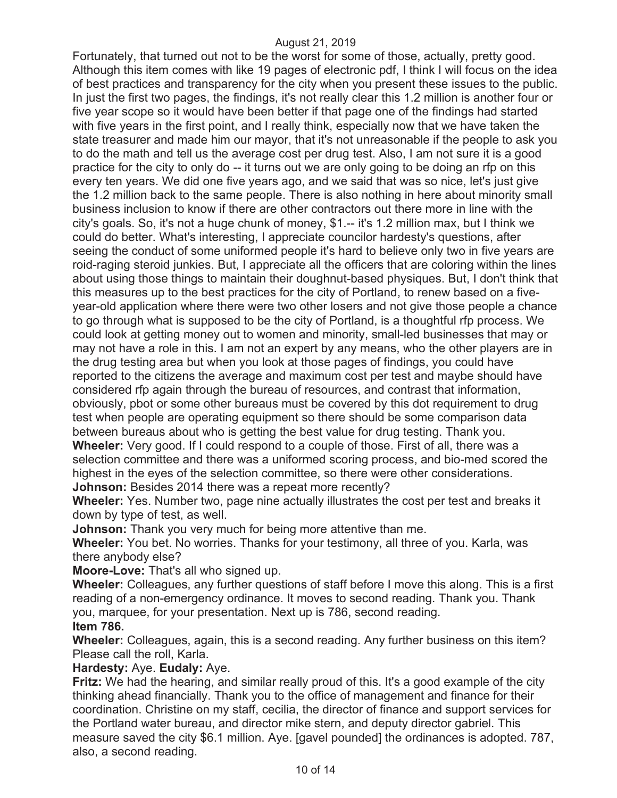Fortunately, that turned out not to be the worst for some of those, actually, pretty good. Although this item comes with like 19 pages of electronic pdf, I think I will focus on the idea of best practices and transparency for the city when you present these issues to the public. In just the first two pages, the findings, it's not really clear this 1.2 million is another four or five year scope so it would have been better if that page one of the findings had started with five years in the first point, and I really think, especially now that we have taken the state treasurer and made him our mayor, that it's not unreasonable if the people to ask you to do the math and tell us the average cost per drug test. Also, I am not sure it is a good practice for the city to only do -- it turns out we are only going to be doing an rfp on this every ten years. We did one five years ago, and we said that was so nice, let's just give the 1.2 million back to the same people. There is also nothing in here about minority small business inclusion to know if there are other contractors out there more in line with the city's goals. So, it's not a huge chunk of money, \$1.-- it's 1.2 million max, but I think we could do better. What's interesting, I appreciate councilor hardesty's questions, after seeing the conduct of some uniformed people it's hard to believe only two in five years are roid-raging steroid junkies. But, I appreciate all the officers that are coloring within the lines about using those things to maintain their doughnut-based physiques. But, I don't think that this measures up to the best practices for the city of Portland, to renew based on a fiveyear-old application where there were two other losers and not give those people a chance to go through what is supposed to be the city of Portland, is a thoughtful rfp process. We could look at getting money out to women and minority, small-led businesses that may or may not have a role in this. I am not an expert by any means, who the other players are in the drug testing area but when you look at those pages of findings, you could have reported to the citizens the average and maximum cost per test and maybe should have considered rfp again through the bureau of resources, and contrast that information, obviously, pbot or some other bureaus must be covered by this dot requirement to drug test when people are operating equipment so there should be some comparison data between bureaus about who is getting the best value for drug testing. Thank you. **Wheeler:** Very good. If I could respond to a couple of those. First of all, there was a selection committee and there was a uniformed scoring process, and bio-med scored the highest in the eyes of the selection committee, so there were other considerations. **Johnson:** Besides 2014 there was a repeat more recently?

**Wheeler:** Yes. Number two, page nine actually illustrates the cost per test and breaks it down by type of test, as well.

**Johnson:** Thank you very much for being more attentive than me.

**Wheeler:** You bet. No worries. Thanks for your testimony, all three of you. Karla, was there anybody else?

**Moore-Love:** That's all who signed up.

**Wheeler:** Colleagues, any further questions of staff before I move this along. This is a first reading of a non-emergency ordinance. It moves to second reading. Thank you. Thank you, marquee, for your presentation. Next up is 786, second reading. **Item 786.** 

**Wheeler:** Colleagues, again, this is a second reading. Any further business on this item? Please call the roll, Karla.

# **Hardesty:** Aye. **Eudaly:** Aye.

**Fritz:** We had the hearing, and similar really proud of this. It's a good example of the city thinking ahead financially. Thank you to the office of management and finance for their coordination. Christine on my staff, cecilia, the director of finance and support services for the Portland water bureau, and director mike stern, and deputy director gabriel. This measure saved the city \$6.1 million. Aye. [gavel pounded] the ordinances is adopted. 787, also, a second reading.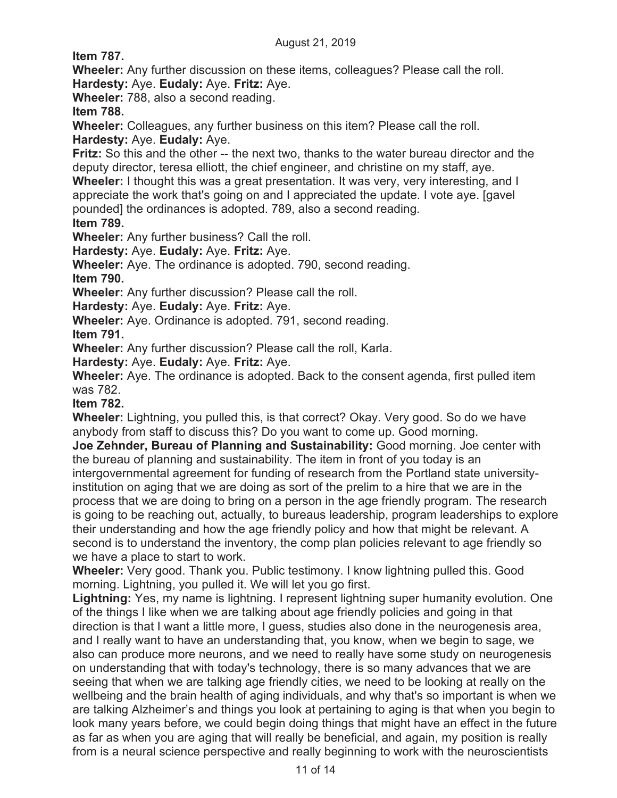**Item 787.** 

**Wheeler:** Any further discussion on these items, colleagues? Please call the roll.

**Hardesty:** Aye. **Eudaly:** Aye. **Fritz:** Aye.

**Wheeler:** 788, also a second reading.

**Item 788.** 

**Wheeler:** Colleagues, any further business on this item? Please call the roll.

**Hardesty:** Aye. **Eudaly:** Aye.

**Fritz:** So this and the other -- the next two, thanks to the water bureau director and the deputy director, teresa elliott, the chief engineer, and christine on my staff, aye.

**Wheeler:** I thought this was a great presentation. It was very, very interesting, and I appreciate the work that's going on and I appreciated the update. I vote aye. [gavel pounded] the ordinances is adopted. 789, also a second reading.

# **Item 789.**

**Wheeler:** Any further business? Call the roll.

**Hardesty:** Aye. **Eudaly:** Aye. **Fritz:** Aye.

**Wheeler:** Aye. The ordinance is adopted. 790, second reading.

**Item 790.** 

**Wheeler:** Any further discussion? Please call the roll.

**Hardesty:** Aye. **Eudaly:** Aye. **Fritz:** Aye.

**Wheeler:** Aye. Ordinance is adopted. 791, second reading.

**Item 791.** 

**Wheeler:** Any further discussion? Please call the roll, Karla.

**Hardesty:** Aye. **Eudaly:** Aye. **Fritz:** Aye.

**Wheeler:** Aye. The ordinance is adopted. Back to the consent agenda, first pulled item was 782.

# **Item 782.**

**Wheeler:** Lightning, you pulled this, is that correct? Okay. Very good. So do we have anybody from staff to discuss this? Do you want to come up. Good morning.

**Joe Zehnder, Bureau of Planning and Sustainability:** Good morning. Joe center with the bureau of planning and sustainability. The item in front of you today is an intergovernmental agreement for funding of research from the Portland state universityinstitution on aging that we are doing as sort of the prelim to a hire that we are in the process that we are doing to bring on a person in the age friendly program. The research is going to be reaching out, actually, to bureaus leadership, program leaderships to explore their understanding and how the age friendly policy and how that might be relevant. A second is to understand the inventory, the comp plan policies relevant to age friendly so we have a place to start to work.

**Wheeler:** Very good. Thank you. Public testimony. I know lightning pulled this. Good morning. Lightning, you pulled it. We will let you go first.

**Lightning:** Yes, my name is lightning. I represent lightning super humanity evolution. One of the things I like when we are talking about age friendly policies and going in that direction is that I want a little more, I guess, studies also done in the neurogenesis area, and I really want to have an understanding that, you know, when we begin to sage, we also can produce more neurons, and we need to really have some study on neurogenesis on understanding that with today's technology, there is so many advances that we are seeing that when we are talking age friendly cities, we need to be looking at really on the wellbeing and the brain health of aging individuals, and why that's so important is when we are talking Alzheimer's and things you look at pertaining to aging is that when you begin to look many years before, we could begin doing things that might have an effect in the future as far as when you are aging that will really be beneficial, and again, my position is really from is a neural science perspective and really beginning to work with the neuroscientists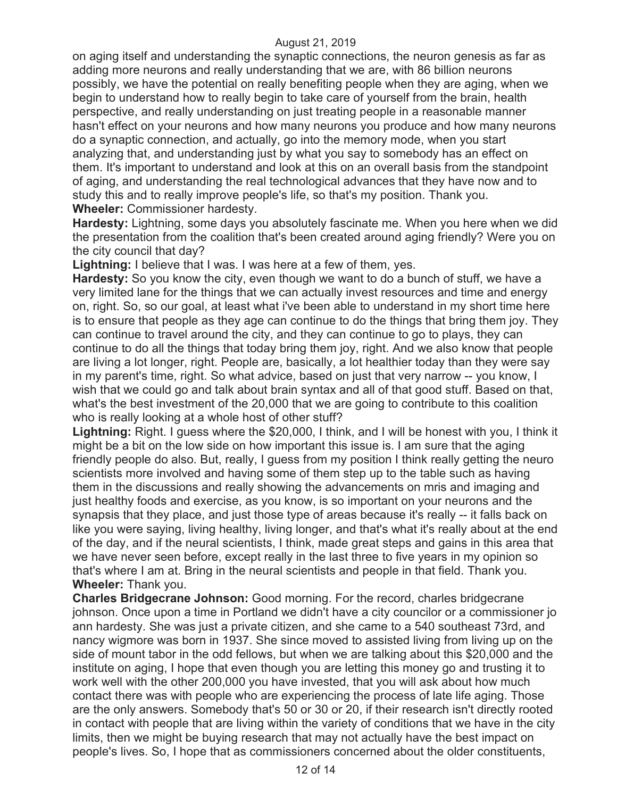on aging itself and understanding the synaptic connections, the neuron genesis as far as adding more neurons and really understanding that we are, with 86 billion neurons possibly, we have the potential on really benefiting people when they are aging, when we begin to understand how to really begin to take care of yourself from the brain, health perspective, and really understanding on just treating people in a reasonable manner hasn't effect on your neurons and how many neurons you produce and how many neurons do a synaptic connection, and actually, go into the memory mode, when you start analyzing that, and understanding just by what you say to somebody has an effect on them. It's important to understand and look at this on an overall basis from the standpoint of aging, and understanding the real technological advances that they have now and to study this and to really improve people's life, so that's my position. Thank you. **Wheeler:** Commissioner hardesty.

**Hardesty:** Lightning, some days you absolutely fascinate me. When you here when we did the presentation from the coalition that's been created around aging friendly? Were you on the city council that day?

**Lightning:** I believe that I was. I was here at a few of them, yes.

**Hardesty:** So you know the city, even though we want to do a bunch of stuff, we have a very limited lane for the things that we can actually invest resources and time and energy on, right. So, so our goal, at least what i've been able to understand in my short time here is to ensure that people as they age can continue to do the things that bring them joy. They can continue to travel around the city, and they can continue to go to plays, they can continue to do all the things that today bring them joy, right. And we also know that people are living a lot longer, right. People are, basically, a lot healthier today than they were say in my parent's time, right. So what advice, based on just that very narrow -- you know, I wish that we could go and talk about brain syntax and all of that good stuff. Based on that, what's the best investment of the 20,000 that we are going to contribute to this coalition who is really looking at a whole host of other stuff?

**Lightning:** Right. I guess where the \$20,000, I think, and I will be honest with you, I think it might be a bit on the low side on how important this issue is. I am sure that the aging friendly people do also. But, really, I guess from my position I think really getting the neuro scientists more involved and having some of them step up to the table such as having them in the discussions and really showing the advancements on mris and imaging and just healthy foods and exercise, as you know, is so important on your neurons and the synapsis that they place, and just those type of areas because it's really -- it falls back on like you were saying, living healthy, living longer, and that's what it's really about at the end of the day, and if the neural scientists, I think, made great steps and gains in this area that we have never seen before, except really in the last three to five years in my opinion so that's where I am at. Bring in the neural scientists and people in that field. Thank you. **Wheeler:** Thank you.

**Charles Bridgecrane Johnson:** Good morning. For the record, charles bridgecrane johnson. Once upon a time in Portland we didn't have a city councilor or a commissioner jo ann hardesty. She was just a private citizen, and she came to a 540 southeast 73rd, and nancy wigmore was born in 1937. She since moved to assisted living from living up on the side of mount tabor in the odd fellows, but when we are talking about this \$20,000 and the institute on aging, I hope that even though you are letting this money go and trusting it to work well with the other 200,000 you have invested, that you will ask about how much contact there was with people who are experiencing the process of late life aging. Those are the only answers. Somebody that's 50 or 30 or 20, if their research isn't directly rooted in contact with people that are living within the variety of conditions that we have in the city limits, then we might be buying research that may not actually have the best impact on people's lives. So, I hope that as commissioners concerned about the older constituents,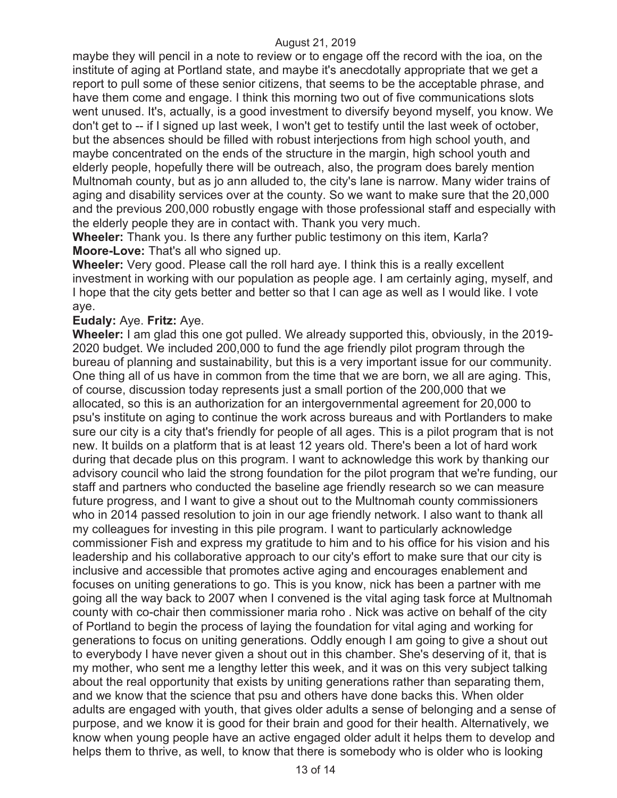maybe they will pencil in a note to review or to engage off the record with the ioa, on the institute of aging at Portland state, and maybe it's anecdotally appropriate that we get a report to pull some of these senior citizens, that seems to be the acceptable phrase, and have them come and engage. I think this morning two out of five communications slots went unused. It's, actually, is a good investment to diversify beyond myself, you know. We don't get to -- if I signed up last week, I won't get to testify until the last week of october, but the absences should be filled with robust interjections from high school youth, and maybe concentrated on the ends of the structure in the margin, high school youth and elderly people, hopefully there will be outreach, also, the program does barely mention Multnomah county, but as jo ann alluded to, the city's lane is narrow. Many wider trains of aging and disability services over at the county. So we want to make sure that the 20,000 and the previous 200,000 robustly engage with those professional staff and especially with the elderly people they are in contact with. Thank you very much.

**Wheeler:** Thank you. Is there any further public testimony on this item, Karla? **Moore-Love:** That's all who signed up.

**Wheeler:** Very good. Please call the roll hard aye. I think this is a really excellent investment in working with our population as people age. I am certainly aging, myself, and I hope that the city gets better and better so that I can age as well as I would like. I vote aye.

#### **Eudaly:** Aye. **Fritz:** Aye.

**Wheeler:** I am glad this one got pulled. We already supported this, obviously, in the 2019- 2020 budget. We included 200,000 to fund the age friendly pilot program through the bureau of planning and sustainability, but this is a very important issue for our community. One thing all of us have in common from the time that we are born, we all are aging. This, of course, discussion today represents just a small portion of the 200,000 that we allocated, so this is an authorization for an intergovernmental agreement for 20,000 to psu's institute on aging to continue the work across bureaus and with Portlanders to make sure our city is a city that's friendly for people of all ages. This is a pilot program that is not new. It builds on a platform that is at least 12 years old. There's been a lot of hard work during that decade plus on this program. I want to acknowledge this work by thanking our advisory council who laid the strong foundation for the pilot program that we're funding, our staff and partners who conducted the baseline age friendly research so we can measure future progress, and I want to give a shout out to the Multnomah county commissioners who in 2014 passed resolution to join in our age friendly network. I also want to thank all my colleagues for investing in this pile program. I want to particularly acknowledge commissioner Fish and express my gratitude to him and to his office for his vision and his leadership and his collaborative approach to our city's effort to make sure that our city is inclusive and accessible that promotes active aging and encourages enablement and focuses on uniting generations to go. This is you know, nick has been a partner with me going all the way back to 2007 when I convened is the vital aging task force at Multnomah county with co-chair then commissioner maria roho . Nick was active on behalf of the city of Portland to begin the process of laying the foundation for vital aging and working for generations to focus on uniting generations. Oddly enough I am going to give a shout out to everybody I have never given a shout out in this chamber. She's deserving of it, that is my mother, who sent me a lengthy letter this week, and it was on this very subject talking about the real opportunity that exists by uniting generations rather than separating them, and we know that the science that psu and others have done backs this. When older adults are engaged with youth, that gives older adults a sense of belonging and a sense of purpose, and we know it is good for their brain and good for their health. Alternatively, we know when young people have an active engaged older adult it helps them to develop and helps them to thrive, as well, to know that there is somebody who is older who is looking